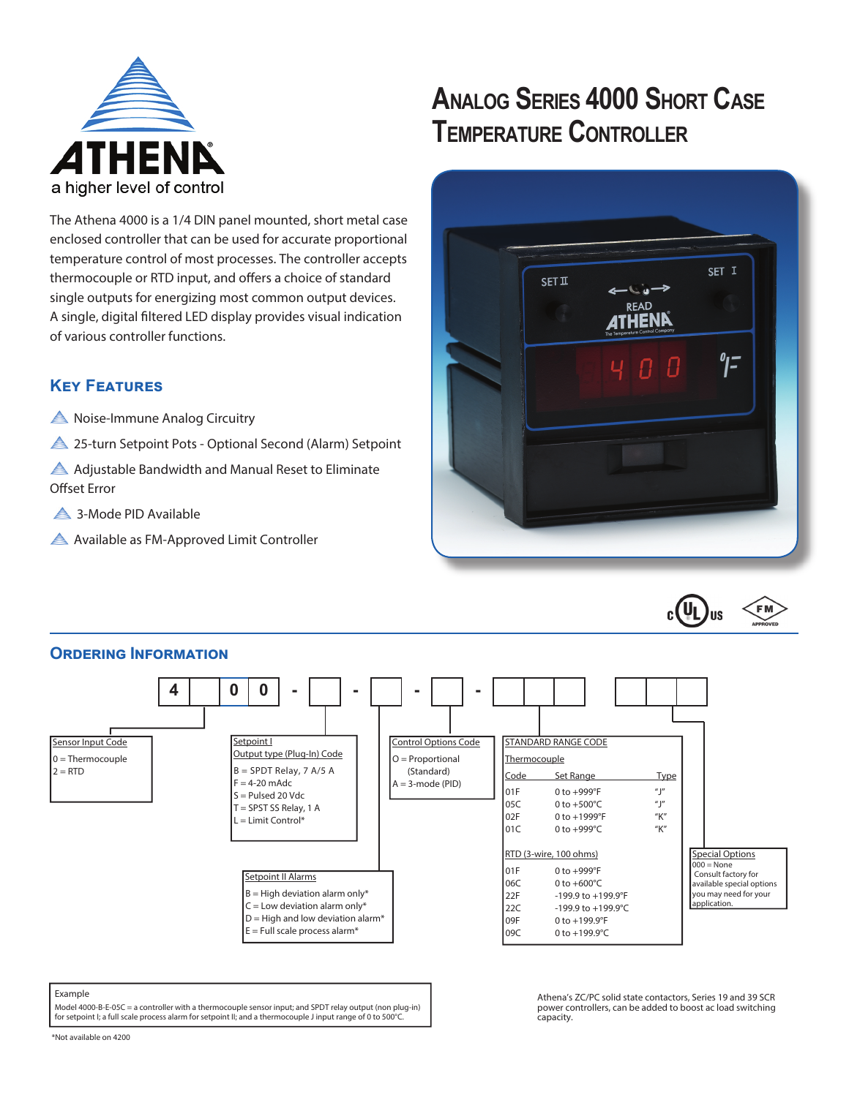

# **ANALOG SERIES 4000 SHORT CASE TEMPERATURE CONTROLLER**

The Athena 4000 is a 1/4 DIN panel mounted, short metal case enclosed controller that can be used for accurate proportional temperature control of most processes. The controller accepts thermocouple or RTD input, and offers a choice of standard single outputs for energizing most common output devices. A single, digital filtered LED display provides visual indication of various controller functions.

### **KEY FEATURES**

A Noise-Immune Analog Circuitry

**25-turn Setpoint Pots - Optional Second (Alarm) Setpoint** 

Adjustable Bandwidth and Manual Reset to Eliminate Offset Error

**4** 3-Mode PID Available

Available as FM-Approved Limit Controller





#### **ORDERING INFORMATION** STANDARD RANGE CODE **Thermocouple** Code Set Range Type 01F 0 to +999°F "J" 05C 0 to +500°C "J"  $0 \text{ to } +1999^\circ$ F "K" **01C** 0 to +999°C "K" RTD (3-wire, 100 ohms) 01F 0 to +999°F 06C 0 to +600°C 22F -199.9 to +199.9°F 22C -199.9 to +199.9°C 09F 0 to +199.9°F 09C 0 to +199.9°C Control Options Code  $O =$ Proportional (Standard)  $A = 3$ -mode (PID) Setpoint II Alarms  $B = High deviation alarm only*$  $C =$  Low deviation alarm only\*  $D =$  High and low deviation alarm<sup>\*</sup>  $E =$  Full scale process alarm\* Sensor Input Code  $0 =$ Thermocouple  $2 = RTD$ Special Options  $000 = \text{None}$ Consult factory for available special options you may need for your application. Setpoint I Output type (Plug-In) Code  $B =$  SPDT Relay, 7 A/5 A  $F = 4-20$  mAdc S = Pulsed 20 Vdc T = SPST SS Relay, 1 A  $L =$  Limit Control\* **4 0 0 - - - -**

### Example

Model 4000-B-E-05C = a controller with a thermocouple sensor input; and SPDT relay output (non plug-in) for setpoint I; a full scale process alarm for setpoint II; and a thermocouple J input range of 0 to 500°C.

Athena's ZC/PC solid state contactors, Series 19 and 39 SCR power controllers, can be added to boost ac load switching capacity.